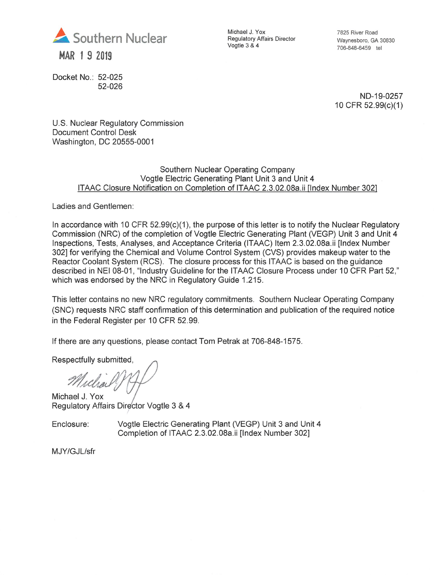

Docket No.: 52-025 52-026 Michael J. Yox Regulatory Affairs Director Vogtle 3 & 4

7825 River Road Waynesboro, GA 30830 706-848-6459 tel

ND-19-0257 10CFR 52.99(c)(1)

U.S. Nuclear Regulatory Commission Document Control Desk Washington, DC 20555-0001

#### Southern Nuclear Operating Company Vogtle Electric Generating Plant Unit 3 and Unit 4 ITAAC Closure Notification on Completion of ITAAC 2.3.02.08a.ii [Index Number 3021

Ladies and Gentlemen:

In accordance with 10 CFR 52.99(c)(1), the purpose of this letter is to notify the Nuclear Regulatory Commission (NRC) of the completion of Vogtle Electric Generating Plant (VEGP) Unit 3 and Unit 4 Inspections, Tests, Analyses, and Acceptance Criteria (ITAAC) Item 2.3.02.08a.ii [Index Number 302] for verifying the Chemical and Volume Control System (CVS) provides makeup water to the Reactor Coolant System (RCS). The closure process for this ITAAC is based on the guidance described in NEI 08-01, "Industry Guideline for the ITAAC Closure Process under 10 CFR Part 52," which was endorsed by the NRC in Regulatory Guide 1.215.

This letter contains no new NRC regulatory commitments. Southern Nuclear Operating Company (SNC) requests NRC staff confirmation of this determination and publication of the required notice in the Federal Register per 10 CFR 52.99.

If there are any questions, please contact Tom Petrak at 706-848-1575.

Respectfully submitted.

Michael

Michael J. Yox Regulatory Affairs Director Vogtle 3 & 4

Enclosure: Vogtle Electric Generating Plant (VEGP) Unit 3 and Unit 4 Completion of ITAAC 2.3.02.08a.ii [Index Number 302]

MJY/GJL/sfr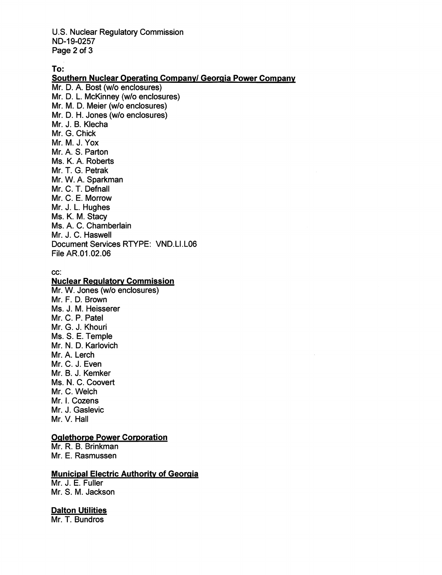U.S. Nuclear Regulatory Commission ND-19-0257 Page 2 of 3

To: Southern Nuclear Operating Company/ Georgia Power Company M D. A. Bost (w/o enclosures) M D. L. McKinney (w/o enclosures) M M. D. Meier (w/o enclosures) M D. H. Jones (w/o enclosures) Mr. J. B. Klecha Mr. G. Chick Mr. M. J. Y<mark>ox</mark> Mr. A. S. Parton Ms. K. A. Roberts Mr. T. G. Petrak Mr. W. A. Sparkman Mr. C. T. Defnall Mr. C. E. Morrow Mr. J. L. Hughes Ms. K. M. Stacy Ms. A. C. Chamberlain Mr. J. C. Haswell Document Services RTYPE: VND.LI.L06 File AR.01.02.06

### cc:

## **Nuclear Regulatory Commission**

Mr. W. Jones (w/o enclosures) Mr. F. D. Brown Ms. J. M. Heisserer Mr. C. P. Patel Mr. G. J. Khouri Ms. S. E. Temple Mr. N. D. Karlovich Mr. A. Lerch Mr. C. J. Even Mr. B. J. Kemker Ms. N. C. Coovert Mr. C. Welch Mr. I. Cozens Mr. J. Gaslevic Mr. V. Hall

# **Oglethorpe Power Corporation**

Mr. R. B. Brinkman Mr. E. Rasmussen

## **Municipal Electric Authority of Georgia**

Mr. J. E. Fuller Mr. S. M. Jackson

### **Dalton Utilities**

Mr. T. Bundros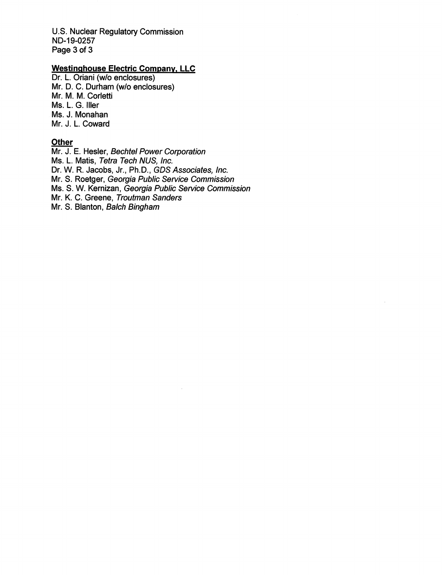U.S. Nuclear Regulatory Commission ND-19-0257 Page 3 of 3

# Westinahouse Electric Company. LLC

Dr. L. Oriani (w/o enclosures) Mr. D. C. Durham (w/o enclosures) Mr. M. M. Corletti Ms. L. G. Iller Ms. J. Monahan Mr. J. L. Coward

# **Other**

Mr. J. E. Hesler, Bechtel Power Corporation

Ms. L. Matis, Tetra Tech NUS, inc.

Dr. W. R. Jacobs, Jr., Ph.D., GDS Associates, Inc.

Mr. 8. Roetger, Georgia Public Service Commission

Ms. 8. W. Kernizan, Georgia Public Service Commission

Mr. K. C. Greene, Troutman Sanders

Mr. 8. Blanton, Balch Bingham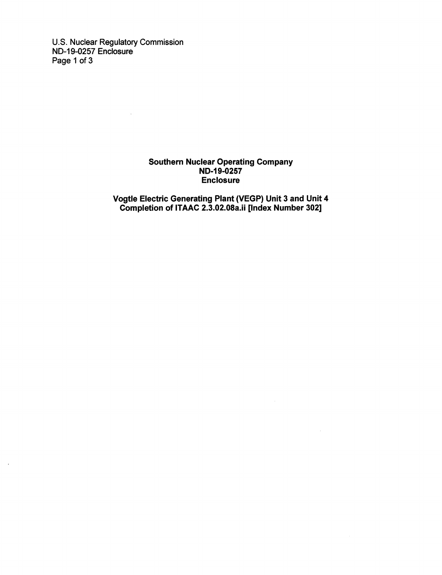U.S. Nuclear Regulatory Commission ND-1&-0257 Enclosure Page 1 of 3

 $\sim$   $\sim$ 

 $\cdot$ 

### Southern Nuclear Operating Company ND-19-0257 Enclosure

Vogtle Electric Generating Plant (VEGP) Unit 3 and Unit 4 Completion of ITAAC 2.3.02.08a.ii [Index Number 302]

 $\mathcal{A}^{\pm}$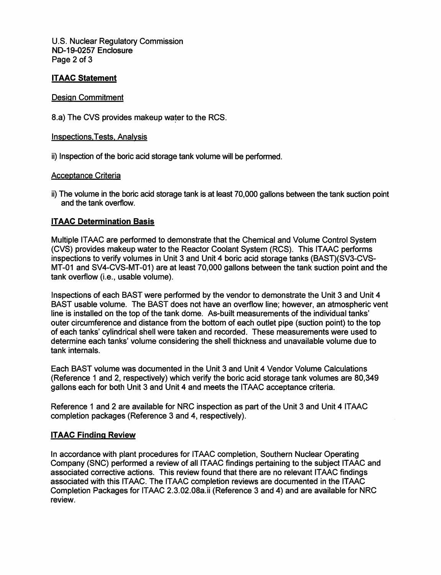U.S. Nuclear Regulatory Commission ND-13-0257 Enclosure Page 2 of 3

# ITAAC Statement

## Design Commitment

8.a) The CVS provides makeup water to the RCS.

## Inspections, Tests, Analysis

ii) Inspection of the boric acid storage tank volume will be performed.

## Acceptance Criteria

ii) The volume in the boric acid storage tank is at least 70,000 gallons between the tank suction point and the tank overflow.

# ITAAC Determination Basis

Multiple ITAAC are performed to demonstrate that the Chemical and Volume Control System (CVS) provides makeup water to the Reactor Coolant System (RCS). This ITAAC performs inspections to verify volumes in Unit 3 and Unit 4 boric acid storage tanks (BAST)(SV3-CVS-MT-01 and SV4-CVS-MT-01) are at least 70,000 gallons between the tank suction point and the tank overflow (i.e., usable volume).

Inspections of each BAST were performed by the vendor to demonstrate the Unit 3 and Unit 4 BAST usable volume. The BAST does not have an overflow line; however, an atmospheric vent line is installed on the top of the tank dome. As-built measurements of the individual tanks' outer circumference and distance from the bottom of each outlet pipe (suction point) to the top of each tanks' cylindrical shell were taken and recorded. These measurements were used to determine each tanks' volume considering the shell thickness and unavailable volume due to tank internals.

Each BAST volume was documented in the Unit 3 and Unit 4 Vendor Volume Calculations (Reference 1 and 2, respectively) which verify the boric acid storage tank volumes are 80,349 gallons each for both Unit 3 and Unit 4 and meets the ITAAC acceptance criteria.

Reference 1 and 2 are available for NRC inspection as part of the Unit 3 and Unit 4 ITAAC completion packages (Reference 3 and 4, respectively).

# ITAAC Finding Review

In accordance with plant procedures for ITAAC completion. Southern Nuclear Operating Company (SNC) performed a review of all ITAAC findings pertaining to the subject ITAAC and associated corrective actions. This review found that there are no relevant ITAAC findings associated with this ITAAC. The ITAAC completion reviews are documented in the ITAAC Completion Packages for ITAAC 2.3.02.08a.ii (Reference 3 and 4) and are available for NRC review.